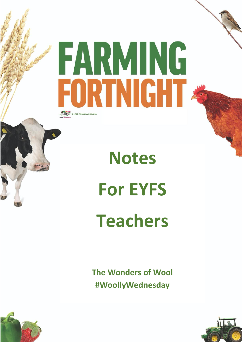## FARMING FORTNIGHT LEAF A LEAF Education initiativ

**Notes For EYFS**

## **Teachers**

**The Wonders of Wool #WoollyWednesday**



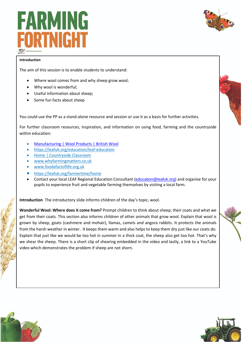



## **Introduction**

The aim of this session is to enable students to understand:

- Where wool comes from and why sheep grow wool;
- Why wool is wonderful;
- Useful information about sheep;
- Some fun facts about sheep

You could use the PP as a stand-alone resource and session or use it as a basis for further activities.

For further classroom resources, inspiration, and information on using food, farming and the countryside within education:

- [Manufacturing | Wool Products | British Wool](https://www.britishwool.org.uk/about-wool)
- <https://leafuk.org/education/leaf-education>
- [Home | Countryside Classroom](https://www.countrysideclassroom.org.uk/)
- [www.whyfarmingmatters.co.uk](http://www.whyfarmingmatters.co.uk/)
- [www.foodafactoflife.org.uk](http://www.foodafactoflife.org.uk/)
- <https://leafuk.org/farmertime/home>
- Contact your local LEAF Regional Education Consultant ([education@leafuk.org](mailto:education@leafuk.org)) and organise for your pupils to experience fruit and vegetable farming themselves by visiting a local farm.

**Introduction** The introductory slide informs children of the day's topic, wool.

**Wonderful Wool: Where does it come from?** Prompt children to think about sheep, their coats and what we get from their coats. This section also informs children of other animals that grow wool. Explain that wool is grown by sheep, goats (cashmere and mohair), llamas, camels and angora rabbits. It protects the animals from the harsh weather in winter. It keeps them warm and also helps to keep them dry just like our coats do. Explain that just like we would be too hot in summer in a thick coat, the sheep also get too hot. That's why we shear the sheep. There is a short clip of shearing embedded in the video and lastly, a link to a YouTube video which demonstrates the problem if sheep are not shorn.